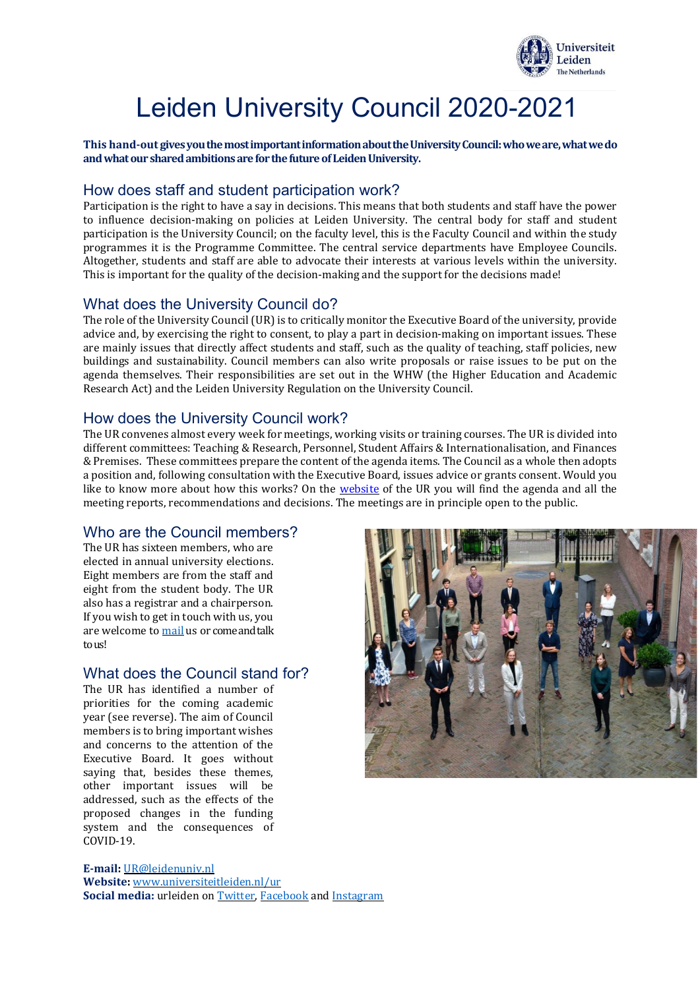

# Leiden University Council 2020-2021

**This hand-out gives you the most important information about the University Council: who we are, what we do and what our shared ambitions are for the future of Leiden University.** 

### How does staff and student participation work?

Participation is the right to have a say in decisions. This means that both students and staff have the power to influence decision-making on policies at Leiden University. The central body for staff and student participation is the University Council; on the faculty level, this is the Faculty Council and within the study programmes it is the Programme Committee. The central service departments have Employee Councils. Altogether, students and staff are able to advocate their interests at various levels within the university. This is important for the quality of the decision-making and the support for the decisions made!

# What does the University Council do?

The role of the University Council(UR) is to critically monitor the Executive Board of the university, provide advice and, by exercising the right to consent, to play a part in decision-making on important issues. These are mainly issues that directly affect students and staff, such as the quality of teaching, staff policies, new buildings and sustainability. Council members can also write proposals or raise issues to be put on the agenda themselves. Their responsibilities are set out in the WHW (the Higher Education and Academic Research Act) and the Leiden University Regulation on the University Council.

### How does the University Council work?

The UR convenes almost every week for meetings, working visits or training courses. The UR is divided into different committees: Teaching & Research, Personnel, Student Affairs & Internationalisation, and Finances & Premises. These committees prepare the content of the agenda items. The Council as a whole then adopts a position and, following consultation with the Executive Board, issues advice or grants consent. Would you like to know more about how this works? On the [website](https://www.organisatiegids.universiteitleiden.nl/en/staff-and-student-participation/university-council) of the UR you will find the agenda and all the meeting reports, recommendations and decisions. The meetings are in principle open to the public.

# Who are the Council members?

The UR has sixteen members, who are elected in annual university elections. Eight members are from the staff and eight from the student body. The UR also has a registrar and a chairperson. If you wish to get in touch with us, you are welcome to [mail](mailto:UR@leidenuniv.nl) us or come and talk to us!

#### What does the Council stand for?

The UR has identified a number of priorities for the coming academic year (see reverse). The aim of Council members is to bring important wishes and concerns to the attention of the Executive Board. It goes without saying that, besides these themes, other important issues will be addressed, such as the effects of the proposed changes in the funding system and the consequences of COVID-19.

**E-mail:** [UR@leidenuniv.nl](mailto:UR@leidenuniv.nl) **Website:** [www.universiteitleiden.nl/ur](http://www.universiteitleiden.nl/ur) **Social media:** urleiden on [Twitter, Facebo](https://twitter.com/urleiden)ok and [Instagram](https://www.instagram.com/urleiden/)